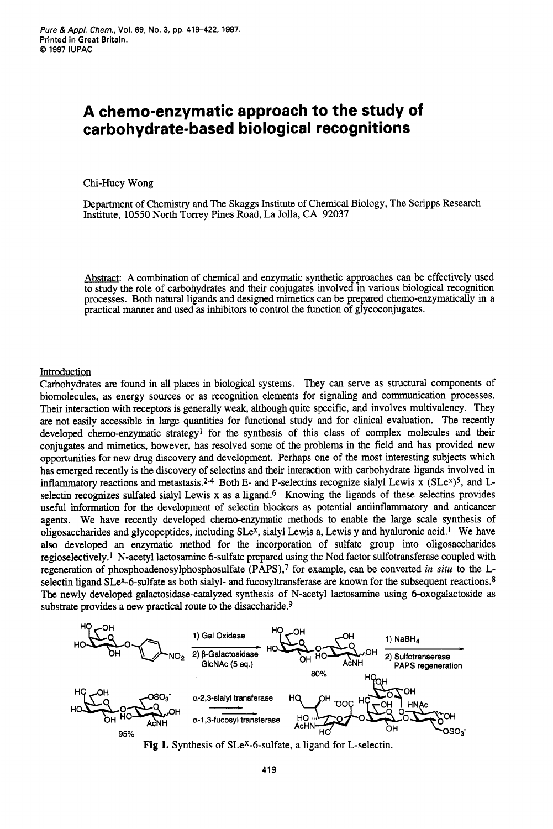## **A chemo-enzymatic approach to the study of carbohydrate-based biological recognitions**

Chi-Huey Wong

Department of Chemistry and The Skaggs Institute of Chemical Biology, The Scripps Research Institute, 10550 North Torrey Pines Road, La Jolla, CA **92037** 

Abstract: A combination of chemical and enzymatic synthetic approaches can be effectively used to study the role of carbohydrates and their conjugates involved in various biological recognition processes. Both natural ligands and designed mimetics can be prepared chemo-enzymatically in a practical manner and used as inhibitors to control the function of glycoconjugates.

## **Introduction**

Carbohydrates **are** found in all places in biological systems. They can serve as structural components of biomolecules, as energy sources or as recognition elements for signaling and communication processes. Their interaction with receptors is generally weak, although quite specific, and involves multivalency. They are not easily accessible in large quantities for functional study and for clinical evaluation. The recently developed chemo-enzymatic strategy<sup>1</sup> for the synthesis of this class of complex molecules and their conjugates and mimetics, however, has resolved some of the problems in the field and has provided new opportunities for new drug discovery and development. Perhaps one of the most interesting subjects which has emerged recently is the discovery of selectins and their interaction with carbohydrate ligands involved in inflammatory reactions and metastasis.<sup>2-4</sup> Both E- and P-selectins recognize sialyl Lewis x (SLe<sup>x</sup>)<sup>5</sup>, and Lselectin recognizes sulfated sialyl Lewis x as a ligand.<sup>6</sup> Knowing the ligands of these selectins provides useful information for the development of selectin blockers as potential antiinflammatory and anticancer agents. We have recently developed chemo-enzymatic methods to enable the large scale synthesis of oligosaccharides and glycopeptides, including  $SLe^{x}$ , sialyl Lewis a, Lewis y and hyaluronic acid.<sup>1</sup> We have also developed an enzymatic method for the incorporation of sulfate group into oligosaccharides regioselectively.1 N-acetyl lactosamine 6-sulfate prepared using the Nod factor sulfotransferase coupled with regeneration of **phosphoadenosylphosphosulfate** (PAPS),7 for example, can be converted *in situ* to the Lselectin ligand SLe<sup>x</sup>-6-sulfate as both sialyl- and fucosyltransferase are known for the subsequent reactions.<sup>8</sup> The newly developed galactosidase-catalyzed synthesis of N-acetyl lactosamine using 6-oxogalactoside as substrate provides a new practical route to the disaccharide.<sup>9</sup>



**Fig 1.** Synthesis of SLeX-6-sulfate, a ligand for L-selectin.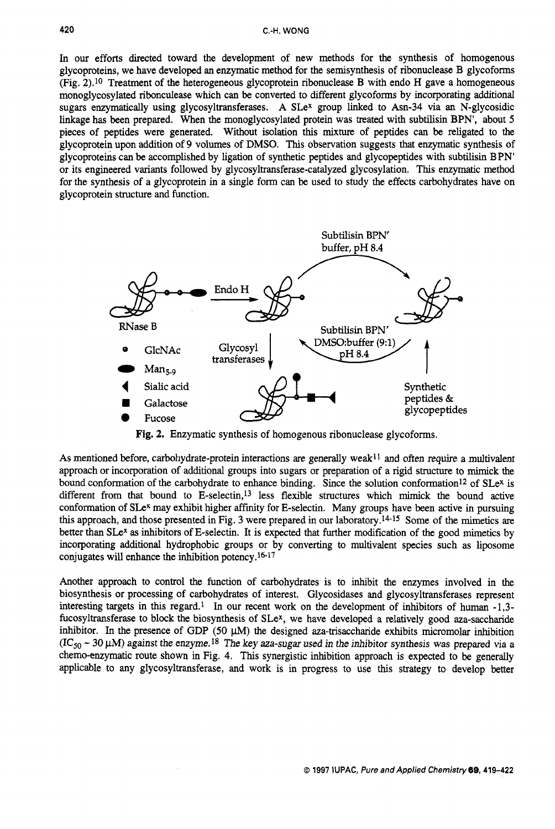In our efforts directed toward the development of new methods for the synthesis of homogenous glycoproteins, we have developed an enzymatic method for the semisynthesis of ribonuclease B glycoforms (Fig. 2).10 Treatment of the heterogeneous glycoprotein ribonuclease B with endo H gave a homogeneous monoglycosylated ribonculease which can be converted to different glycoforms by incorporating additional sugars enzymatically using glycosyltransferases. A SLe<sup>x</sup> group linked to Asn-34 via an N-glycosidic linkage has been prepared. When the monoglycosylated protein was treated with subtilisin BPN', about *5*  pieces of peptides were generated. Without isolation this **mixture** of peptides can be religated to the glycoprotein upon addition of 9 volumes of DMSO. This observation suggests that enzymatic synthesis of glycoprotehs can be accomplished by ligation of synthetic peptides and glycopeptides with subtilisin BPN' or its engineered variants followed by **glycosyltransferase-catalyzed** glycosylation. This enzymatic method for the synthesis of a glycoprotein in a single form can be used to study the effects carbohydrates have on C.H. WONG<br>
C.H. WONG<br>
C.H. WONG<br>
glycoproteins we have veloped an enzymatic methods for the synthesis of homotekese B glycoforms<br>
glycoprotein structure are where the set of the set of the set of the set of the set of the



**Fig. 2.** Enzymatic synthesis of homogenous ribonuclease glycoforms.

As mentioned before, carbohydrate-protein interactions are generally weak<sup>11</sup> and often require a multivalent approach or incorporation of additional groups into sugars or preparation of a rigid structure to mimick the bound conformation of the carbohydrate to enhance binding. Since the solution conformation<sup>12</sup> of SLe<sup>x</sup> is different from that bound to E-selectin,<sup>13</sup> less flexible structures which mimick the bound active conformation of SLe<sup>x</sup> may exhibit higher affinity for E-selectin. Many groups have been active in pursuing this approach, and those presented in Fig. 3 were prepared in our laboratory.14-15 Some of the mimetics **are**  better than SLe<sup>x</sup> as inhibitors of E-selectin. It is expected that further modification of the good mimetics by incorporating additional hydrophobic groups or by converting to multivalent species such as liposome conjugates will enhance the inhibition potency.16-17

Another approach to control the function of carbohydrates is to inhibit the enzymes involved in the biosynthesis or processing of carbohydrates of interest. Glycosidases and glycosyltransferases represent interesting targets in this regard.' In our recent work on the development of inhibitors of human -1,3 fucosyltransferase to block the biosynthesis of SLe<sup>x</sup>, we have developed a relatively good aza-saccharide inhibitor. In the presence of GDP (50  $\mu$ M) the designed aza-trisaccharide exhibits micromolar inhibition  $(IC_{50} \sim 30 \mu M)$  against the enzyme.<sup>18</sup> The key aza-sugar used in the inhibitor synthesis was prepared via a chemo-enzymatic route shown in Fig. 4. This synergistic inhibition approach is expected to be generally applicable to any glycosyltransferase, and work is in progress to use this strategy to develop better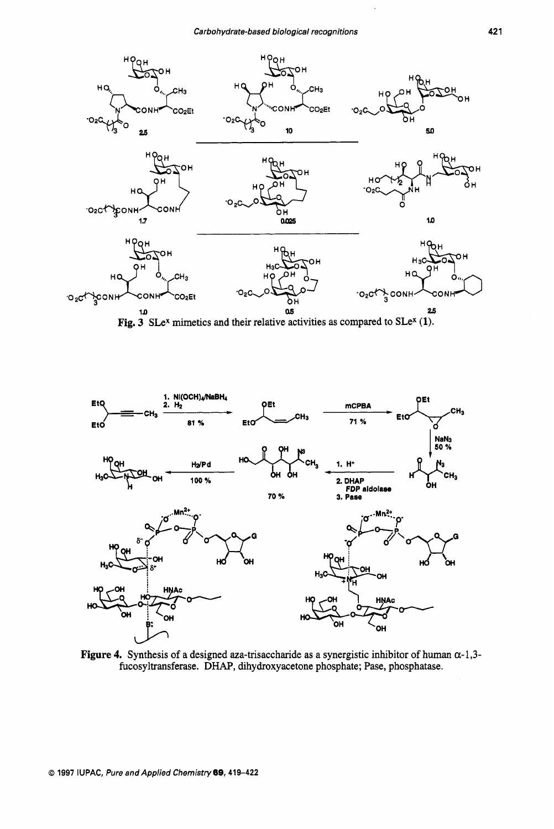

Fig.  $3$  SLe<sup>x</sup> mimetics and their relative activities as compared to SLe<sup>x</sup> (1).



Figure 4. Synthesis of a designed aza-trisaccharide as a synergistic inhibitor of human  $\alpha$ -1,3fucosyltransferase. DHAP, dihydroxyacetone phosphate; Pase, phosphatase.